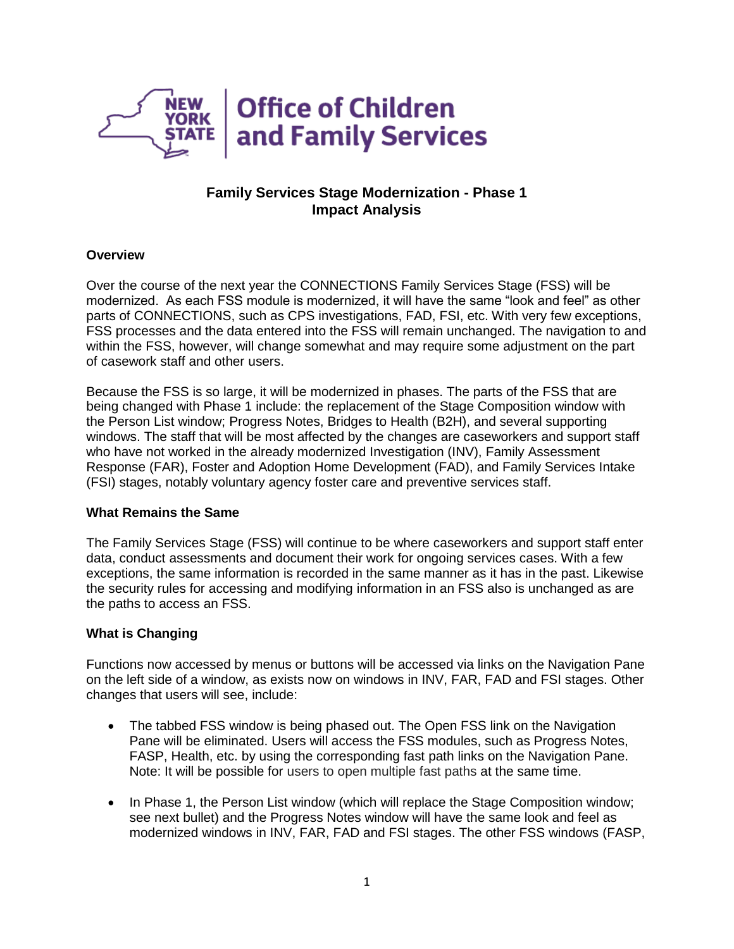

# **Family Services Stage Modernization - Phase 1 Impact Analysis**

### **Overview**

Over the course of the next year the CONNECTIONS Family Services Stage (FSS) will be modernized. As each FSS module is modernized, it will have the same "look and feel" as other parts of CONNECTIONS, such as CPS investigations, FAD, FSI, etc. With very few exceptions, FSS processes and the data entered into the FSS will remain unchanged. The navigation to and within the FSS, however, will change somewhat and may require some adjustment on the part of casework staff and other users.

Because the FSS is so large, it will be modernized in phases. The parts of the FSS that are being changed with Phase 1 include: the replacement of the Stage Composition window with the Person List window; Progress Notes, Bridges to Health (B2H), and several supporting windows. The staff that will be most affected by the changes are caseworkers and support staff who have not worked in the already modernized Investigation (INV), Family Assessment Response (FAR), Foster and Adoption Home Development (FAD), and Family Services Intake (FSI) stages, notably voluntary agency foster care and preventive services staff.

#### **What Remains the Same**

The Family Services Stage (FSS) will continue to be where caseworkers and support staff enter data, conduct assessments and document their work for ongoing services cases. With a few exceptions, the same information is recorded in the same manner as it has in the past. Likewise the security rules for accessing and modifying information in an FSS also is unchanged as are the paths to access an FSS.

## **What is Changing**

Functions now accessed by menus or buttons will be accessed via links on the Navigation Pane on the left side of a window, as exists now on windows in INV, FAR, FAD and FSI stages. Other changes that users will see, include:

- The tabbed FSS window is being phased out. The Open FSS link on the Navigation Pane will be eliminated. Users will access the FSS modules, such as Progress Notes, FASP, Health, etc. by using the corresponding fast path links on the Navigation Pane. Note: It will be possible for users to open multiple fast paths at the same time.
- In Phase 1, the Person List window (which will replace the Stage Composition window; see next bullet) and the Progress Notes window will have the same look and feel as modernized windows in INV, FAR, FAD and FSI stages. The other FSS windows (FASP,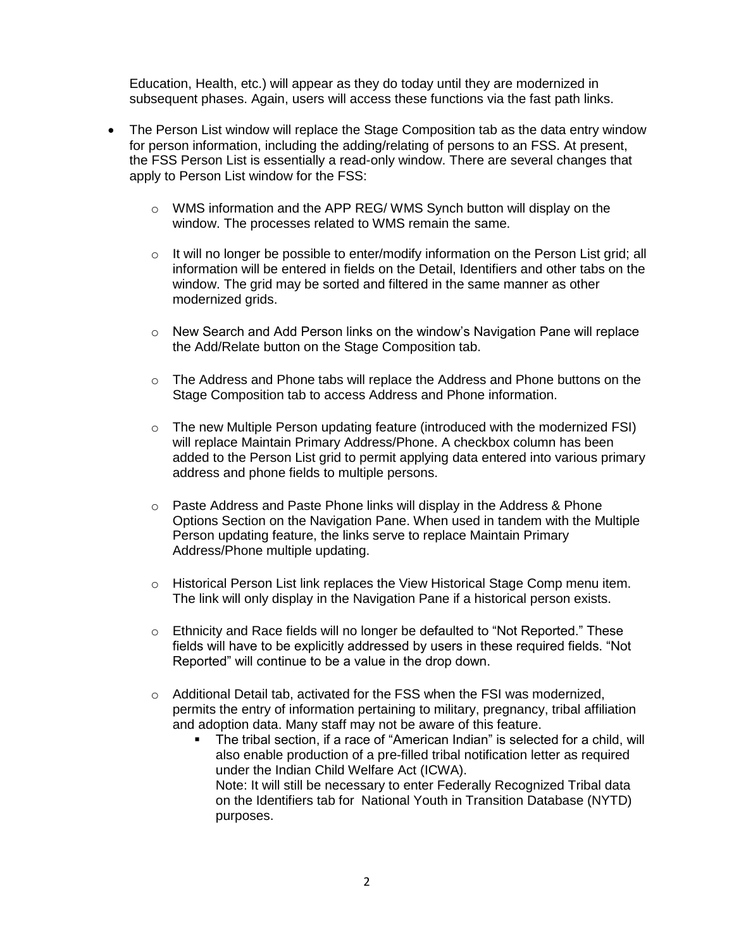Education, Health, etc.) will appear as they do today until they are modernized in subsequent phases. Again, users will access these functions via the fast path links.

- The Person List window will replace the Stage Composition tab as the data entry window for person information, including the adding/relating of persons to an FSS. At present, the FSS Person List is essentially a read-only window. There are several changes that apply to Person List window for the FSS:
	- $\circ$  WMS information and the APP REG/WMS Synch button will display on the window. The processes related to WMS remain the same.
	- $\circ$  It will no longer be possible to enter/modify information on the Person List grid; all information will be entered in fields on the Detail, Identifiers and other tabs on the window. The grid may be sorted and filtered in the same manner as other modernized grids.
	- o New Search and Add Person links on the window's Navigation Pane will replace the Add/Relate button on the Stage Composition tab.
	- $\circ$  The Address and Phone tabs will replace the Address and Phone buttons on the Stage Composition tab to access Address and Phone information.
	- $\circ$  The new Multiple Person updating feature (introduced with the modernized FSI) will replace Maintain Primary Address/Phone. A checkbox column has been added to the Person List grid to permit applying data entered into various primary address and phone fields to multiple persons.
	- $\circ$  Paste Address and Paste Phone links will display in the Address & Phone Options Section on the Navigation Pane. When used in tandem with the Multiple Person updating feature, the links serve to replace Maintain Primary Address/Phone multiple updating.
	- $\circ$  Historical Person List link replaces the View Historical Stage Comp menu item. The link will only display in the Navigation Pane if a historical person exists.
	- $\circ$  Ethnicity and Race fields will no longer be defaulted to "Not Reported." These fields will have to be explicitly addressed by users in these required fields. "Not Reported" will continue to be a value in the drop down.
	- $\circ$  Additional Detail tab, activated for the FSS when the FSI was modernized, permits the entry of information pertaining to military, pregnancy, tribal affiliation and adoption data. Many staff may not be aware of this feature.
		- The tribal section, if a race of "American Indian" is selected for a child, will also enable production of a pre-filled tribal notification letter as required under the Indian Child Welfare Act (ICWA). Note: It will still be necessary to enter Federally Recognized Tribal data on the Identifiers tab for National Youth in Transition Database (NYTD) purposes.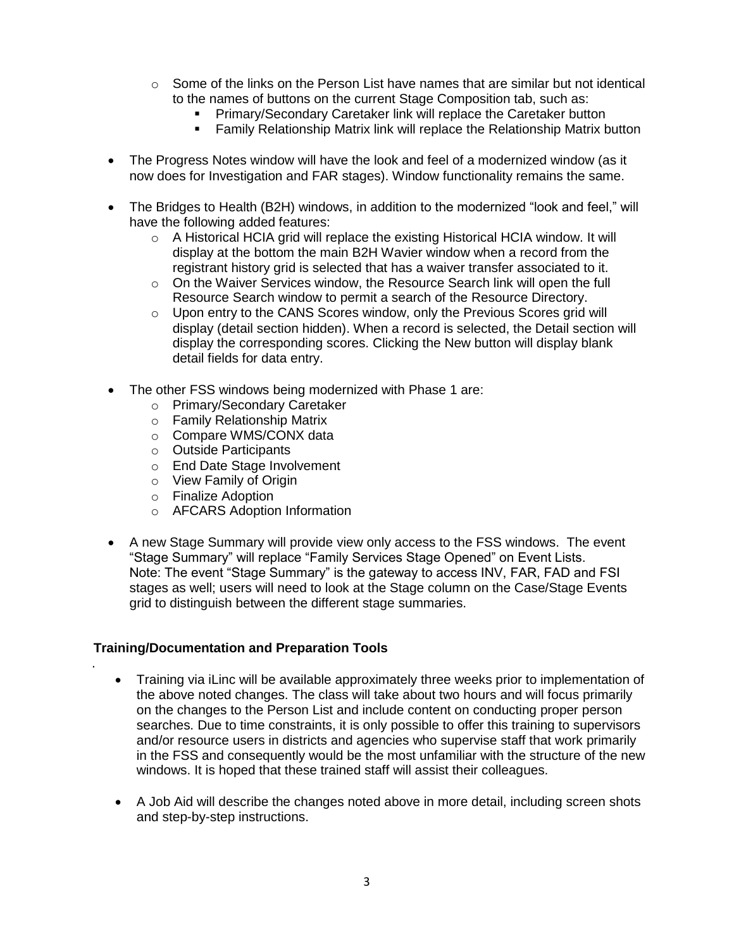- $\circ$  Some of the links on the Person List have names that are similar but not identical to the names of buttons on the current Stage Composition tab, such as:
	- **Primary/Secondary Caretaker link will replace the Caretaker button**
	- Family Relationship Matrix link will replace the Relationship Matrix button
- The Progress Notes window will have the look and feel of a modernized window (as it now does for Investigation and FAR stages). Window functionality remains the same.
- The Bridges to Health (B2H) windows, in addition to the modernized "look and feel," will have the following added features:
	- $\circ$  A Historical HCIA grid will replace the existing Historical HCIA window. It will display at the bottom the main B2H Wavier window when a record from the registrant history grid is selected that has a waiver transfer associated to it.
	- $\circ$  On the Waiver Services window, the Resource Search link will open the full Resource Search window to permit a search of the Resource Directory.
	- $\circ$  Upon entry to the CANS Scores window, only the Previous Scores grid will display (detail section hidden). When a record is selected, the Detail section will display the corresponding scores. Clicking the New button will display blank detail fields for data entry.
- The other FSS windows being modernized with Phase 1 are:
	- o Primary/Secondary Caretaker
	- o Family Relationship Matrix
	- o Compare WMS/CONX data
	- o Outside Participants
	- o End Date Stage Involvement
	- o View Family of Origin
	- o Finalize Adoption
	- o AFCARS Adoption Information
- A new Stage Summary will provide view only access to the FSS windows. The event "Stage Summary" will replace "Family Services Stage Opened" on Event Lists. Note: The event "Stage Summary" is the gateway to access INV, FAR, FAD and FSI stages as well; users will need to look at the Stage column on the Case/Stage Events grid to distinguish between the different stage summaries.

#### **Training/Documentation and Preparation Tools**

.

- Training via iLinc will be available approximately three weeks prior to implementation of the above noted changes. The class will take about two hours and will focus primarily on the changes to the Person List and include content on conducting proper person searches. Due to time constraints, it is only possible to offer this training to supervisors and/or resource users in districts and agencies who supervise staff that work primarily in the FSS and consequently would be the most unfamiliar with the structure of the new windows. It is hoped that these trained staff will assist their colleagues.
- A Job Aid will describe the changes noted above in more detail, including screen shots and step-by-step instructions.